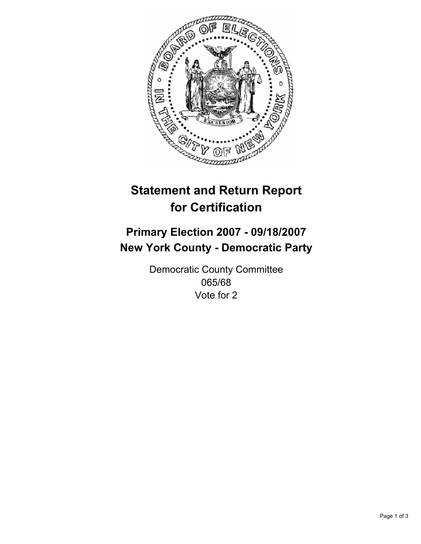

# **Statement and Return Report for Certification**

## **Primary Election 2007 - 09/18/2007 New York County - Democratic Party**

Democratic County Committee 065/68 Vote for 2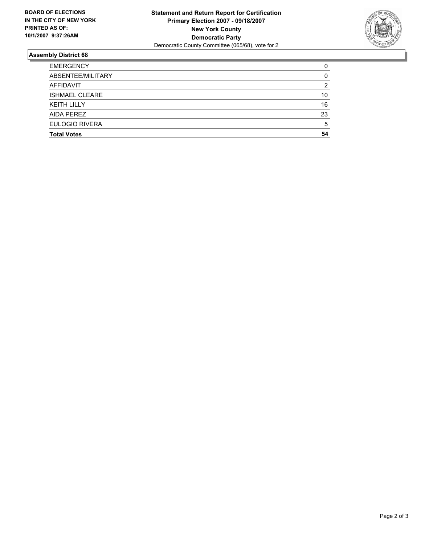

### **Assembly District 68**

| <b>EMERGENCY</b>      |    |
|-----------------------|----|
| ABSENTEE/MILITARY     |    |
| AFFIDAVIT             | ົ  |
| <b>ISHMAEL CLEARE</b> | 10 |
| <b>KEITH LILLY</b>    | 16 |
| AIDA PEREZ            | 23 |
| <b>EULOGIO RIVERA</b> |    |
| <b>Total Votes</b>    | 54 |